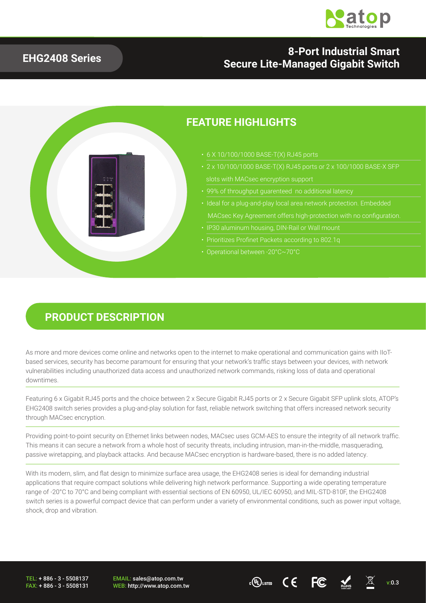

#### **EHG2408 Series**

### **8-Port Industrial Smart Secure Lite-Managed Gigabit Switch**

### **FEATURE HIGHLIGHTS**

- 6 X 10/100/1000 BASE-T(X) RJ45 ports
- 2 x 10/100/1000 BASE-T(X) RJ45 ports or 2 x 100/1000 BASE-X SFP
- 99% of throughput guarenteed no additional latency
- MACsec Key Agreement offers high-protection with no configuration.
- 
- 
- 

#### **PRODUCT DESCRIPTION**

As more and more devices come online and networks open to the internet to make operational and communication gains with IIoTbased services, security has become paramount for ensuring that your network's traffic stays between your devices, with network vulnerabilities including unauthorized data access and unauthorized network commands, risking loss of data and operational downtimes.

Featuring 6 x Gigabit RJ45 ports and the choice between 2 x Secure Gigabit RJ45 ports or 2 x Secure Gigabit SFP uplink slots, ATOP's EHG2408 switch series provides a plug-and-play solution for fast, reliable network switching that offers increased network security through MACsec encryption.

Providing point-to-point security on Ethernet links between nodes, MACsec uses GCM-AES to ensure the integrity of all network traffic. This means it can secure a network from a whole host of security threats, including intrusion, man-in-the-middle, masquerading, passive wiretapping, and playback attacks. And because MACsec encryption is hardware-based, there is no added latency.

With its modern, slim, and flat design to minimize surface area usage, the EHG2408 series is ideal for demanding industrial applications that require compact solutions while delivering high network performance. Supporting a wide operating temperature range of -20°C to 70°C and being compliant with essential sections of EN 60950, UL/IEC 60950, and MIL-STD-810F, the EHG2408 switch series is a powerful compact device that can perform under a variety of environmental conditions, such as power input voltage, shock, drop and vibration.

TEL: + 886 - 3 - 5508137 FAX: + 886 - 3 - 5508131 EMAIL: sales@atop.com.tw

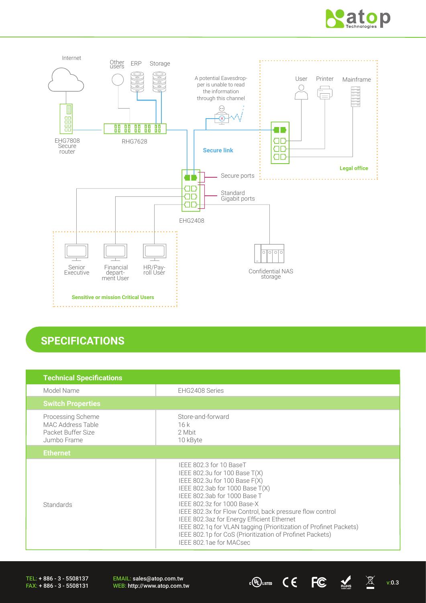



### **SPECIFICATIONS**

| <b>Technical Specifications</b>                                                    |                                                                                                                                                                                                                                                                                                                                                                                                                                                                     |
|------------------------------------------------------------------------------------|---------------------------------------------------------------------------------------------------------------------------------------------------------------------------------------------------------------------------------------------------------------------------------------------------------------------------------------------------------------------------------------------------------------------------------------------------------------------|
| Model Name                                                                         | EHG2408 Series                                                                                                                                                                                                                                                                                                                                                                                                                                                      |
| <b>Switch Properties</b>                                                           |                                                                                                                                                                                                                                                                                                                                                                                                                                                                     |
| Processing Scheme<br><b>MAC Address Table</b><br>Packet Buffer Size<br>Jumbo Frame | Store-and-forward<br>16k<br>2 Mbit<br>10 kByte                                                                                                                                                                                                                                                                                                                                                                                                                      |
| <b>Ethernet</b>                                                                    |                                                                                                                                                                                                                                                                                                                                                                                                                                                                     |
| Standards                                                                          | IEEE 802.3 for 10 BaseT<br>IEEE 802.3u for 100 Base $T(X)$<br>IEEE 802.3u for 100 Base F(X)<br>IEEE 802.3ab for 1000 Base T(X)<br>IEEE 802.3ab for 1000 Base T<br>IEEE 802.3z for 1000 Base-X<br>IEEE 802.3x for Flow Control, back pressure flow control<br>IEEE 802.3az for Energy Efficient Ethernet<br>IEEE 802.1q for VLAN tagging (Prioritization of Profinet Packets)<br>IEEE 802.1p for CoS (Prioritization of Profinet Packets)<br>IEEE 802.1ae for MACsec |

TEL: + 886 - 3 - 5508137 FAX: + 886 - 3 - 5508131 EMAIL: sales@atop.com.tw EMAIL: sales@atop.com.tw computes: http://www.atop.com.tw computes: http://www.atop.com.tw computes:  $\mathcal{C} \leftarrow \mathbb{FC}$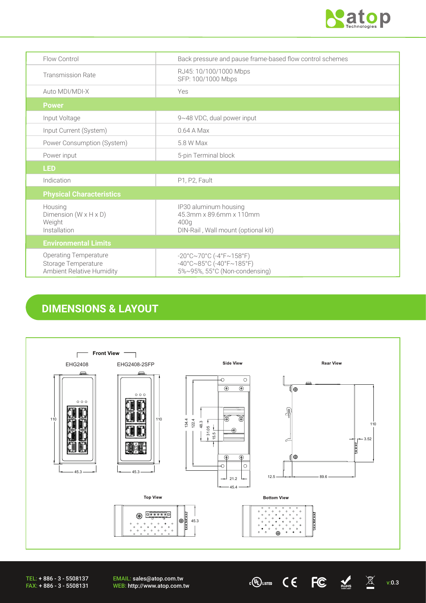

| Flow Control                                                                     | Back pressure and pause frame-based flow control schemes                                                               |
|----------------------------------------------------------------------------------|------------------------------------------------------------------------------------------------------------------------|
| <b>Transmission Rate</b>                                                         | RJ45: 10/100/1000 Mbps<br>SFP: 100/1000 Mbps                                                                           |
| Auto MDI/MDI-X                                                                   | Yes                                                                                                                    |
| <b>Power</b>                                                                     |                                                                                                                        |
| Input Voltage                                                                    | 9~48 VDC, dual power input                                                                                             |
| Input Current (System)                                                           | 0.64 A Max                                                                                                             |
| Power Consumption (System)                                                       | 5.8 W Max                                                                                                              |
| Power input                                                                      | 5-pin Terminal block                                                                                                   |
| <b>LED</b>                                                                       |                                                                                                                        |
| Indication                                                                       | P1, P2, Fault                                                                                                          |
| <b>Physical Characteristics</b>                                                  |                                                                                                                        |
| Housing<br>Dimension $(W \times H \times D)$<br>Weight<br>Installation           | IP30 aluminum housing<br>45.3mm x 89.6mm x 110mm<br>400g<br>DIN-Rail, Wall mount (optional kit)                        |
| <b>Environmental Limits</b>                                                      |                                                                                                                        |
| <b>Operating Temperature</b><br>Storage Temperature<br>Ambient Relative Humidity | $-20^{\circ}$ C~70°C (-4°F~158°F)<br>$-40^{\circ}$ C $\sim$ 85°C (-40°F $\sim$ 185°F)<br>5%~95%, 55°C (Non-condensing) |

### **DIMENSIONS & LAYOUT**



EMAIL: sales@atop.com.tw WEB: http://www.atop.com.tw v:0.3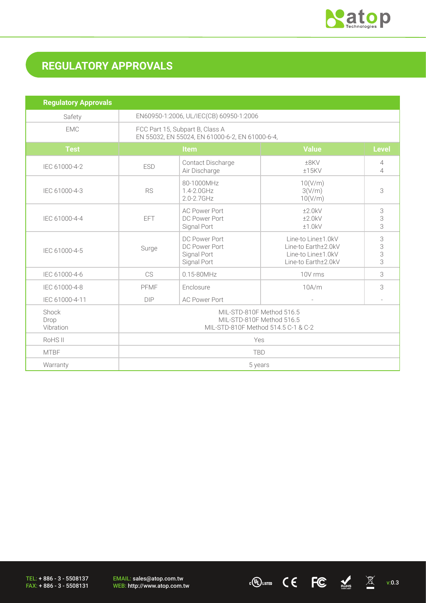

# **REGULATORY APPROVALS**

| <b>Regulatory Approvals</b> |                                                                                               |                                                                        |                                                                                                            |                                            |  |
|-----------------------------|-----------------------------------------------------------------------------------------------|------------------------------------------------------------------------|------------------------------------------------------------------------------------------------------------|--------------------------------------------|--|
| Safety                      | EN60950-1:2006, UL/IEC(CB) 60950-1:2006                                                       |                                                                        |                                                                                                            |                                            |  |
| <b>EMC</b>                  | FCC Part 15, Subpart B, Class A<br>EN 55032, EN 55024, EN 61000-6-2, EN 61000-6-4,            |                                                                        |                                                                                                            |                                            |  |
| <b>Test</b>                 | Item                                                                                          |                                                                        | <b>Value</b>                                                                                               | <b>Level</b>                               |  |
| IEC 61000-4-2               | <b>ESD</b>                                                                                    | Contact Discharge<br>Air Discharge                                     | ±8KV<br>±15KV                                                                                              | $\overline{4}$<br>$\overline{\mathcal{A}}$ |  |
| IEC 61000-4-3               | <b>RS</b>                                                                                     | 80-1000MHz<br>10(V/m)<br>1.4-2.0GHz<br>3(V/m)<br>10(V/m)<br>2.0-2.7GHz |                                                                                                            | 3                                          |  |
| IEC 61000-4-4               | <b>EFT</b>                                                                                    | <b>AC Power Port</b><br>DC Power Port<br>Signal Port                   | ±2.0kV<br>$+2.0kV$<br>±1.0kV                                                                               | 3<br>$\frac{3}{3}$                         |  |
| IEC 61000-4-5               | Surge                                                                                         | DC Power Port<br>DC Power Port<br>Signal Port<br>Signal Port           | 3<br>Line-to Line±1.0kV<br>3<br>Line-to Earth±2.0kV<br>3<br>Line-to Line±1.0kV<br>3<br>Line-to Earth±2.0kV |                                            |  |
| IEC 61000-4-6               | CS                                                                                            | 0.15-80MHz                                                             | 3<br>10V rms                                                                                               |                                            |  |
| IEC 61000-4-8               | PFMF                                                                                          | Enclosure<br>10A/m                                                     |                                                                                                            | 3                                          |  |
| IEC 61000-4-11              | <b>DIP</b>                                                                                    | <b>AC Power Port</b>                                                   |                                                                                                            |                                            |  |
| Shock<br>Drop<br>Vibration  | MIL-STD-810F Method 516.5<br>MIL-STD-810F Method 516.5<br>MIL-STD-810F Method 514.5 C-1 & C-2 |                                                                        |                                                                                                            |                                            |  |
| RoHS <sub>II</sub>          | Yes                                                                                           |                                                                        |                                                                                                            |                                            |  |
| <b>MTBF</b>                 | <b>TBD</b>                                                                                    |                                                                        |                                                                                                            |                                            |  |
| Warranty                    | 5 years                                                                                       |                                                                        |                                                                                                            |                                            |  |

TEL: + 886 - 3 - 5508137 FAX: + 886 - 3 - 5508131 EMAIL: sales@atop.com.tw<br>WEB: http://www.atop.com.tw